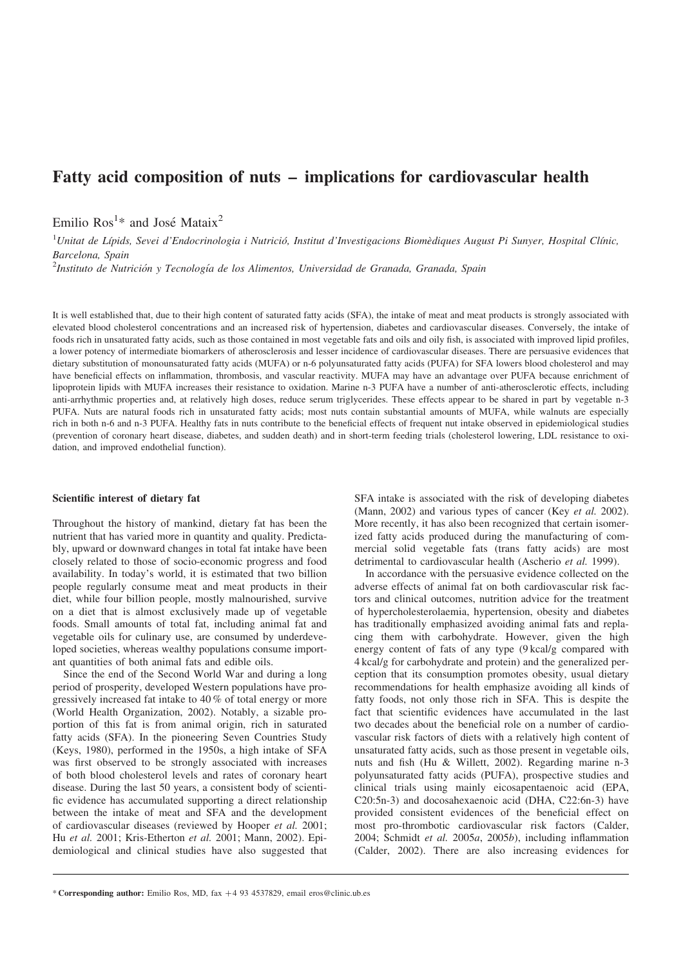# Fatty acid composition of nuts – implications for cardiovascular health

Emilio  $\text{Ros}^{1*}$  and José Mataix<sup>2</sup>

 $^1$ Unitat de Lípids, Sevei d'Endocrinologia i Nutrició, Institut d'Investigacions Biomèdiques August Pi Sunyer, Hospital Clínic, Barcelona, Spain

<sup>2</sup>Instituto de Nutrición y Tecnología de los Alimentos, Universidad de Granada, Granada, Spain

It is well established that, due to their high content of saturated fatty acids (SFA), the intake of meat and meat products is strongly associated with elevated blood cholesterol concentrations and an increased risk of hypertension, diabetes and cardiovascular diseases. Conversely, the intake of foods rich in unsaturated fatty acids, such as those contained in most vegetable fats and oils and oily fish, is associated with improved lipid profiles, a lower potency of intermediate biomarkers of atherosclerosis and lesser incidence of cardiovascular diseases. There are persuasive evidences that dietary substitution of monounsaturated fatty acids (MUFA) or n-6 polyunsaturated fatty acids (PUFA) for SFA lowers blood cholesterol and may have beneficial effects on inflammation, thrombosis, and vascular reactivity. MUFA may have an advantage over PUFA because enrichment of lipoprotein lipids with MUFA increases their resistance to oxidation. Marine n-3 PUFA have a number of anti-atherosclerotic effects, including anti-arrhythmic properties and, at relatively high doses, reduce serum triglycerides. These effects appear to be shared in part by vegetable n-3 PUFA. Nuts are natural foods rich in unsaturated fatty acids; most nuts contain substantial amounts of MUFA, while walnuts are especially rich in both n-6 and n-3 PUFA. Healthy fats in nuts contribute to the beneficial effects of frequent nut intake observed in epidemiological studies (prevention of coronary heart disease, diabetes, and sudden death) and in short-term feeding trials (cholesterol lowering, LDL resistance to oxidation, and improved endothelial function).

#### Scientific interest of dietary fat

Throughout the history of mankind, dietary fat has been the nutrient that has varied more in quantity and quality. Predictably, upward or downward changes in total fat intake have been closely related to those of socio-economic progress and food availability. In today's world, it is estimated that two billion people regularly consume meat and meat products in their diet, while four billion people, mostly malnourished, survive on a diet that is almost exclusively made up of vegetable foods. Small amounts of total fat, including animal fat and vegetable oils for culinary use, are consumed by underdeveloped societies, whereas wealthy populations consume important quantities of both animal fats and edible oils.

Since the end of the Second World War and during a long period of prosperity, developed Western populations have progressively increased fat intake to 40 % of total energy or more (World Health Organization, 2002). Notably, a sizable proportion of this fat is from animal origin, rich in saturated fatty acids (SFA). In the pioneering Seven Countries Study (Keys, 1980), performed in the 1950s, a high intake of SFA was first observed to be strongly associated with increases of both blood cholesterol levels and rates of coronary heart disease. During the last 50 years, a consistent body of scientific evidence has accumulated supporting a direct relationship between the intake of meat and SFA and the development of cardiovascular diseases (reviewed by Hooper et al. 2001; Hu et al. 2001; Kris-Etherton et al. 2001; Mann, 2002). Epidemiological and clinical studies have also suggested that SFA intake is associated with the risk of developing diabetes (Mann, 2002) and various types of cancer (Key et al. 2002). More recently, it has also been recognized that certain isomerized fatty acids produced during the manufacturing of commercial solid vegetable fats (trans fatty acids) are most detrimental to cardiovascular health (Ascherio et al. 1999).

In accordance with the persuasive evidence collected on the adverse effects of animal fat on both cardiovascular risk factors and clinical outcomes, nutrition advice for the treatment of hypercholesterolaemia, hypertension, obesity and diabetes has traditionally emphasized avoiding animal fats and replacing them with carbohydrate. However, given the high energy content of fats of any type (9 kcal/g compared with 4 kcal/g for carbohydrate and protein) and the generalized perception that its consumption promotes obesity, usual dietary recommendations for health emphasize avoiding all kinds of fatty foods, not only those rich in SFA. This is despite the fact that scientific evidences have accumulated in the last two decades about the beneficial role on a number of cardiovascular risk factors of diets with a relatively high content of unsaturated fatty acids, such as those present in vegetable oils, nuts and fish (Hu & Willett, 2002). Regarding marine n-3 polyunsaturated fatty acids (PUFA), prospective studies and clinical trials using mainly eicosapentaenoic acid (EPA, C20:5n-3) and docosahexaenoic acid (DHA, C22:6n-3) have provided consistent evidences of the beneficial effect on most pro-thrombotic cardiovascular risk factors (Calder, 2004; Schmidt et al. 2005a, 2005b), including inflammation (Calder, 2002). There are also increasing evidences for

<sup>\*</sup> Corresponding author: Emilio Ros, MD, fax *þ*4 93 4537829, email eros@clinic.ub.es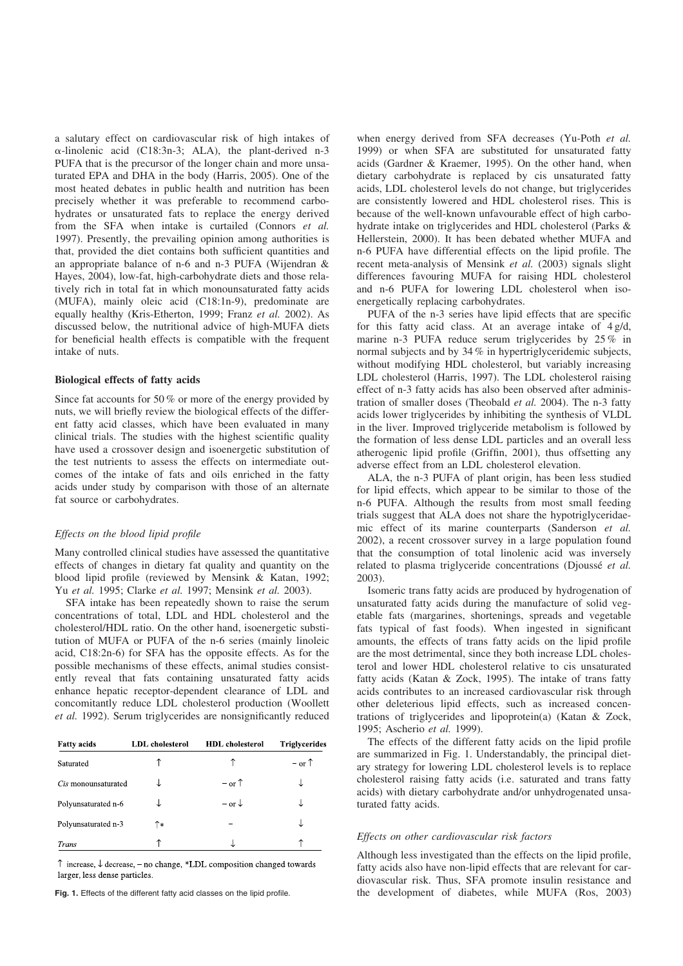a salutary effect on cardiovascular risk of high intakes of  $\alpha$ -linolenic acid (C18:3n-3; ALA), the plant-derived n-3 PUFA that is the precursor of the longer chain and more unsaturated EPA and DHA in the body (Harris, 2005). One of the most heated debates in public health and nutrition has been precisely whether it was preferable to recommend carbohydrates or unsaturated fats to replace the energy derived from the SFA when intake is curtailed (Connors et al. 1997). Presently, the prevailing opinion among authorities is that, provided the diet contains both sufficient quantities and an appropriate balance of n-6 and n-3 PUFA (Wijendran & Hayes, 2004), low-fat, high-carbohydrate diets and those relatively rich in total fat in which monounsaturated fatty acids (MUFA), mainly oleic acid (C18:1n-9), predominate are equally healthy (Kris-Etherton, 1999; Franz et al. 2002). As discussed below, the nutritional advice of high-MUFA diets for beneficial health effects is compatible with the frequent intake of nuts.

#### Biological effects of fatty acids

Since fat accounts for 50 % or more of the energy provided by nuts, we will briefly review the biological effects of the different fatty acid classes, which have been evaluated in many clinical trials. The studies with the highest scientific quality have used a crossover design and isoenergetic substitution of the test nutrients to assess the effects on intermediate outcomes of the intake of fats and oils enriched in the fatty acids under study by comparison with those of an alternate fat source or carbohydrates.

#### Effects on the blood lipid profile

Many controlled clinical studies have assessed the quantitative effects of changes in dietary fat quality and quantity on the blood lipid profile (reviewed by Mensink & Katan, 1992; Yu et al. 1995; Clarke et al. 1997; Mensink et al. 2003).

SFA intake has been repeatedly shown to raise the serum concentrations of total, LDL and HDL cholesterol and the cholesterol/HDL ratio. On the other hand, isoenergetic substitution of MUFA or PUFA of the n-6 series (mainly linoleic acid, C18:2n-6) for SFA has the opposite effects. As for the possible mechanisms of these effects, animal studies consistently reveal that fats containing unsaturated fatty acids enhance hepatic receptor-dependent clearance of LDL and concomitantly reduce LDL cholesterol production (Woollett et al. 1992). Serum triglycerides are nonsignificantly reduced

| <b>Fatty acids</b>  | <b>LDL</b> cholesterol | <b>HDL</b> cholesterol | <b>Triglyceride</b> |
|---------------------|------------------------|------------------------|---------------------|
| Saturated           |                        | ↑                      | $-$ or $\uparrow$   |
| Cis monounsaturated |                        | $-$ or $\uparrow$      |                     |
| Polyunsaturated n-6 |                        | $-$ or $\downarrow$    |                     |
| Polyunsaturated n-3 | ↑∗                     |                        |                     |
| Trans               |                        |                        |                     |

 $\uparrow$  increase,  $\downarrow$  decrease, - no change, \*LDL composition changed towards larger, less dense particles.

when energy derived from SFA decreases (Yu-Poth et al. 1999) or when SFA are substituted for unsaturated fatty acids (Gardner & Kraemer, 1995). On the other hand, when dietary carbohydrate is replaced by cis unsaturated fatty acids, LDL cholesterol levels do not change, but triglycerides are consistently lowered and HDL cholesterol rises. This is because of the well-known unfavourable effect of high carbohydrate intake on triglycerides and HDL cholesterol (Parks & Hellerstein, 2000). It has been debated whether MUFA and n-6 PUFA have differential effects on the lipid profile. The recent meta-analysis of Mensink et al. (2003) signals slight differences favouring MUFA for raising HDL cholesterol and n-6 PUFA for lowering LDL cholesterol when isoenergetically replacing carbohydrates.

PUFA of the n-3 series have lipid effects that are specific for this fatty acid class. At an average intake of 4 g/d, marine n-3 PUFA reduce serum triglycerides by 25 % in normal subjects and by 34 % in hypertriglyceridemic subjects, without modifying HDL cholesterol, but variably increasing LDL cholesterol (Harris, 1997). The LDL cholesterol raising effect of n-3 fatty acids has also been observed after administration of smaller doses (Theobald et al. 2004). The n-3 fatty acids lower triglycerides by inhibiting the synthesis of VLDL in the liver. Improved triglyceride metabolism is followed by the formation of less dense LDL particles and an overall less atherogenic lipid profile (Griffin, 2001), thus offsetting any adverse effect from an LDL cholesterol elevation.

ALA, the n-3 PUFA of plant origin, has been less studied for lipid effects, which appear to be similar to those of the n-6 PUFA. Although the results from most small feeding trials suggest that ALA does not share the hypotriglyceridaemic effect of its marine counterparts (Sanderson et al. 2002), a recent crossover survey in a large population found that the consumption of total linolenic acid was inversely related to plasma triglyceride concentrations (Djoussé et al. 2003).

Isomeric trans fatty acids are produced by hydrogenation of unsaturated fatty acids during the manufacture of solid vegetable fats (margarines, shortenings, spreads and vegetable fats typical of fast foods). When ingested in significant amounts, the effects of trans fatty acids on the lipid profile are the most detrimental, since they both increase LDL cholesterol and lower HDL cholesterol relative to cis unsaturated fatty acids (Katan & Zock, 1995). The intake of trans fatty acids contributes to an increased cardiovascular risk through other deleterious lipid effects, such as increased concentrations of triglycerides and lipoprotein(a) (Katan & Zock, 1995; Ascherio et al. 1999).

The effects of the different fatty acids on the lipid profile are summarized in Fig. 1. Understandably, the principal dietary strategy for lowering LDL cholesterol levels is to replace cholesterol raising fatty acids (i.e. saturated and trans fatty acids) with dietary carbohydrate and/or unhydrogenated unsaturated fatty acids.

# Effects on other cardiovascular risk factors

Although less investigated than the effects on the lipid profile, fatty acids also have non-lipid effects that are relevant for cardiovascular risk. Thus, SFA promote insulin resistance and Fig. 1. Effects of the different fatty acid classes on the lipid profile. the development of diabetes, while MUFA (Ros, 2003)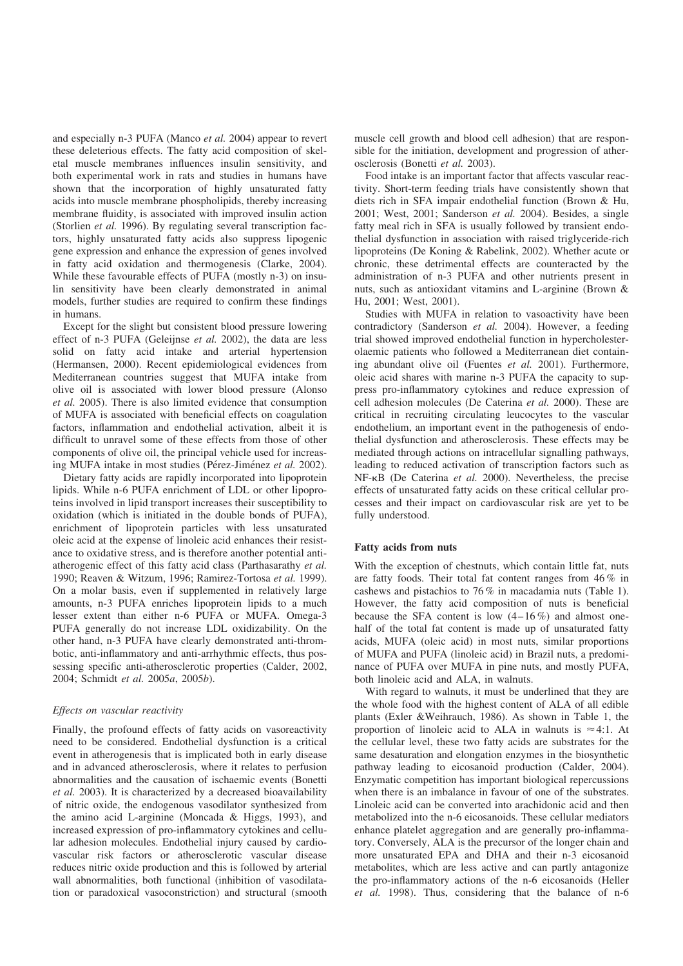and especially n-3 PUFA (Manco et al. 2004) appear to revert these deleterious effects. The fatty acid composition of skeletal muscle membranes influences insulin sensitivity, and both experimental work in rats and studies in humans have shown that the incorporation of highly unsaturated fatty acids into muscle membrane phospholipids, thereby increasing membrane fluidity, is associated with improved insulin action (Storlien et al. 1996). By regulating several transcription factors, highly unsaturated fatty acids also suppress lipogenic gene expression and enhance the expression of genes involved in fatty acid oxidation and thermogenesis (Clarke, 2004). While these favourable effects of PUFA (mostly n-3) on insulin sensitivity have been clearly demonstrated in animal models, further studies are required to confirm these findings in humans.

Except for the slight but consistent blood pressure lowering effect of n-3 PUFA (Geleijnse et al. 2002), the data are less solid on fatty acid intake and arterial hypertension (Hermansen, 2000). Recent epidemiological evidences from Mediterranean countries suggest that MUFA intake from olive oil is associated with lower blood pressure (Alonso et al. 2005). There is also limited evidence that consumption of MUFA is associated with beneficial effects on coagulation factors, inflammation and endothelial activation, albeit it is difficult to unravel some of these effects from those of other components of olive oil, the principal vehicle used for increasing MUFA intake in most studies (Pérez-Jiménez et al. 2002).

Dietary fatty acids are rapidly incorporated into lipoprotein lipids. While n-6 PUFA enrichment of LDL or other lipoproteins involved in lipid transport increases their susceptibility to oxidation (which is initiated in the double bonds of PUFA), enrichment of lipoprotein particles with less unsaturated oleic acid at the expense of linoleic acid enhances their resistance to oxidative stress, and is therefore another potential antiatherogenic effect of this fatty acid class (Parthasarathy et al. 1990; Reaven & Witzum, 1996; Ramirez-Tortosa et al. 1999). On a molar basis, even if supplemented in relatively large amounts, n-3 PUFA enriches lipoprotein lipids to a much lesser extent than either n-6 PUFA or MUFA. Omega-3 PUFA generally do not increase LDL oxidizability. On the other hand, n-3 PUFA have clearly demonstrated anti-thrombotic, anti-inflammatory and anti-arrhythmic effects, thus possessing specific anti-atherosclerotic properties (Calder, 2002, 2004; Schmidt et al. 2005a, 2005b).

#### Effects on vascular reactivity

Finally, the profound effects of fatty acids on vasoreactivity need to be considered. Endothelial dysfunction is a critical event in atherogenesis that is implicated both in early disease and in advanced atherosclerosis, where it relates to perfusion abnormalities and the causation of ischaemic events (Bonetti et al. 2003). It is characterized by a decreased bioavailability of nitric oxide, the endogenous vasodilator synthesized from the amino acid L-arginine (Moncada & Higgs, 1993), and increased expression of pro-inflammatory cytokines and cellular adhesion molecules. Endothelial injury caused by cardiovascular risk factors or atherosclerotic vascular disease reduces nitric oxide production and this is followed by arterial wall abnormalities, both functional (inhibition of vasodilatation or paradoxical vasoconstriction) and structural (smooth muscle cell growth and blood cell adhesion) that are responsible for the initiation, development and progression of atherosclerosis (Bonetti et al. 2003).

Food intake is an important factor that affects vascular reactivity. Short-term feeding trials have consistently shown that diets rich in SFA impair endothelial function (Brown & Hu, 2001; West, 2001; Sanderson et al. 2004). Besides, a single fatty meal rich in SFA is usually followed by transient endothelial dysfunction in association with raised triglyceride-rich lipoproteins (De Koning & Rabelink, 2002). Whether acute or chronic, these detrimental effects are counteracted by the administration of n-3 PUFA and other nutrients present in nuts, such as antioxidant vitamins and L-arginine (Brown & Hu, 2001; West, 2001).

Studies with MUFA in relation to vasoactivity have been contradictory (Sanderson et al. 2004). However, a feeding trial showed improved endothelial function in hypercholesterolaemic patients who followed a Mediterranean diet containing abundant olive oil (Fuentes et al. 2001). Furthermore, oleic acid shares with marine n-3 PUFA the capacity to suppress pro-inflammatory cytokines and reduce expression of cell adhesion molecules (De Caterina et al. 2000). These are critical in recruiting circulating leucocytes to the vascular endothelium, an important event in the pathogenesis of endothelial dysfunction and atherosclerosis. These effects may be mediated through actions on intracellular signalling pathways, leading to reduced activation of transcription factors such as NF-kB (De Caterina et al. 2000). Nevertheless, the precise effects of unsaturated fatty acids on these critical cellular processes and their impact on cardiovascular risk are yet to be fully understood.

# Fatty acids from nuts

With the exception of chestnuts, which contain little fat, nuts are fatty foods. Their total fat content ranges from 46 % in cashews and pistachios to 76 % in macadamia nuts ([Table 1](#page-3-0)). However, the fatty acid composition of nuts is beneficial because the SFA content is low  $(4-16\%)$  and almost onehalf of the total fat content is made up of unsaturated fatty acids, MUFA (oleic acid) in most nuts, similar proportions of MUFA and PUFA (linoleic acid) in Brazil nuts, a predominance of PUFA over MUFA in pine nuts, and mostly PUFA, both linoleic acid and ALA, in walnuts.

With regard to walnuts, it must be underlined that they are the whole food with the highest content of ALA of all edible plants (Exler &Weihrauch, 1986). As shown in [Table 1](#page-3-0), the proportion of linoleic acid to ALA in walnuts is  $\approx$  4:1. At the cellular level, these two fatty acids are substrates for the same desaturation and elongation enzymes in the biosynthetic pathway leading to eicosanoid production (Calder, 2004). Enzymatic competition has important biological repercussions when there is an imbalance in favour of one of the substrates. Linoleic acid can be converted into arachidonic acid and then metabolized into the n-6 eicosanoids. These cellular mediators enhance platelet aggregation and are generally pro-inflammatory. Conversely, ALA is the precursor of the longer chain and more unsaturated EPA and DHA and their n-3 eicosanoid metabolites, which are less active and can partly antagonize the pro-inflammatory actions of the n-6 eicosanoids (Heller et al. 1998). Thus, considering that the balance of n-6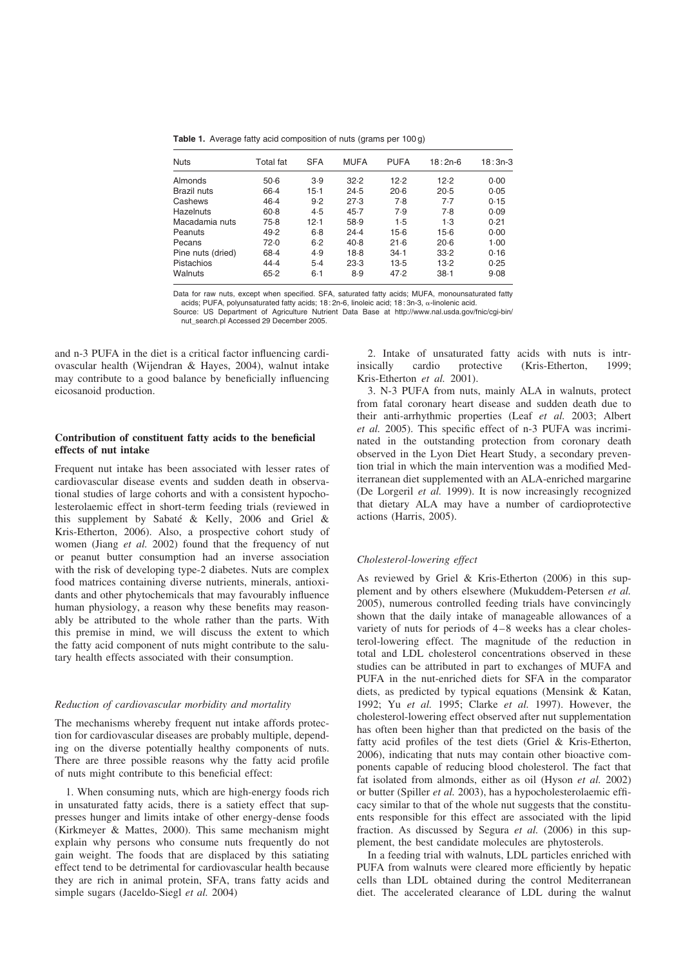<span id="page-3-0"></span>Table 1. Average fatty acid composition of nuts (grams per 100 g)

| <b>Nuts</b>       | Total fat | <b>SFA</b> | <b>MUFA</b> | <b>PUFA</b> | $18:2n-6$ | $18:3n-3$ |
|-------------------|-----------|------------|-------------|-------------|-----------|-----------|
| Almonds           | $50-6$    | 3.9        | 32.2        | 12.2        | 12.2      | 0.00      |
| Brazil nuts       | 66.4      | $15-1$     | 24.5        | 20.6        | 20.5      | 0.05      |
| Cashews           | 46.4      | 9.2        | 27.3        | 7.8         | 7.7       | 0.15      |
| Hazelnuts         | $60 - 8$  | 4.5        | 45.7        | 7.9         | 7.8       | 0.09      |
| Macadamia nuts    | $75-8$    | 12-1       | 58.9        | 1.5         | 1.3       | 0.21      |
| Peanuts           | 49.2      | $6 - 8$    | 24.4        | $15-6$      | $15-6$    | 0.00      |
| Pecans            | 72.0      | $6 - 2$    | 40.8        | 21.6        | $20-6$    | $1-00$    |
| Pine nuts (dried) | 68.4      | 4.9        | 18.8        | $34-1$      | 33.2      | 0.16      |
| Pistachios        | 44.4      | $5-4$      | 23.3        | $13-5$      | $13-2$    | 0.25      |
| Walnuts           | 65.2      | $6 - 1$    | 8.9         | 47.2        | $38 - 1$  | 9.08      |

Data for raw nuts, except when specified. SFA, saturated fatty acids; MUFA, monounsaturated fatty acids; PUFA, polyunsaturated fatty acids; 18:2n-6, linoleic acid; 18:3n-3, a-linolenic acid.

Source: US Department of Agriculture Nutrient Data Base at http://www.nal.usda.gov/fnic/cgi-bin/

nut\_search.pl Accessed 29 December 2005.

and n-3 PUFA in the diet is a critical factor influencing cardiovascular health (Wijendran & Hayes, 2004), walnut intake may contribute to a good balance by beneficially influencing eicosanoid production.

# Contribution of constituent fatty acids to the beneficial effects of nut intake

Frequent nut intake has been associated with lesser rates of cardiovascular disease events and sudden death in observational studies of large cohorts and with a consistent hypocholesterolaemic effect in short-term feeding trials (reviewed in this supplement by Sabaté & Kelly, 2006 and Griel & Kris-Etherton, 2006). Also, a prospective cohort study of women (Jiang et al. 2002) found that the frequency of nut or peanut butter consumption had an inverse association with the risk of developing type-2 diabetes. Nuts are complex food matrices containing diverse nutrients, minerals, antioxidants and other phytochemicals that may favourably influence human physiology, a reason why these benefits may reasonably be attributed to the whole rather than the parts. With this premise in mind, we will discuss the extent to which the fatty acid component of nuts might contribute to the salutary health effects associated with their consumption.

#### Reduction of cardiovascular morbidity and mortality

The mechanisms whereby frequent nut intake affords protection for cardiovascular diseases are probably multiple, depending on the diverse potentially healthy components of nuts. There are three possible reasons why the fatty acid profile of nuts might contribute to this beneficial effect:

1. When consuming nuts, which are high-energy foods rich in unsaturated fatty acids, there is a satiety effect that suppresses hunger and limits intake of other energy-dense foods (Kirkmeyer & Mattes, 2000). This same mechanism might explain why persons who consume nuts frequently do not gain weight. The foods that are displaced by this satiating effect tend to be detrimental for cardiovascular health because they are rich in animal protein, SFA, trans fatty acids and simple sugars (Jaceldo-Siegl et al. 2004)

2. Intake of unsaturated fatty acids with nuts is intrinsically cardio protective (Kris-Etherton, 1999; Kris-Etherton et al. 2001).

3. N-3 PUFA from nuts, mainly ALA in walnuts, protect from fatal coronary heart disease and sudden death due to their anti-arrhythmic properties (Leaf et al. 2003; Albert et al. 2005). This specific effect of n-3 PUFA was incriminated in the outstanding protection from coronary death observed in the Lyon Diet Heart Study, a secondary prevention trial in which the main intervention was a modified Mediterranean diet supplemented with an ALA-enriched margarine (De Lorgeril et al. 1999). It is now increasingly recognized that dietary ALA may have a number of cardioprotective actions (Harris, 2005).

## Cholesterol-lowering effect

As reviewed by Griel & Kris-Etherton (2006) in this supplement and by others elsewhere (Mukuddem-Petersen et al. 2005), numerous controlled feeding trials have convincingly shown that the daily intake of manageable allowances of a variety of nuts for periods of 4–8 weeks has a clear cholesterol-lowering effect. The magnitude of the reduction in total and LDL cholesterol concentrations observed in these studies can be attributed in part to exchanges of MUFA and PUFA in the nut-enriched diets for SFA in the comparator diets, as predicted by typical equations (Mensink & Katan, 1992; Yu et al. 1995; Clarke et al. 1997). However, the cholesterol-lowering effect observed after nut supplementation has often been higher than that predicted on the basis of the fatty acid profiles of the test diets (Griel & Kris-Etherton, 2006), indicating that nuts may contain other bioactive components capable of reducing blood cholesterol. The fact that fat isolated from almonds, either as oil (Hyson et al. 2002) or butter (Spiller et al. 2003), has a hypocholesterolaemic efficacy similar to that of the whole nut suggests that the constituents responsible for this effect are associated with the lipid fraction. As discussed by Segura et al. (2006) in this supplement, the best candidate molecules are phytosterols.

In a feeding trial with walnuts, LDL particles enriched with PUFA from walnuts were cleared more efficiently by hepatic cells than LDL obtained during the control Mediterranean diet. The accelerated clearance of LDL during the walnut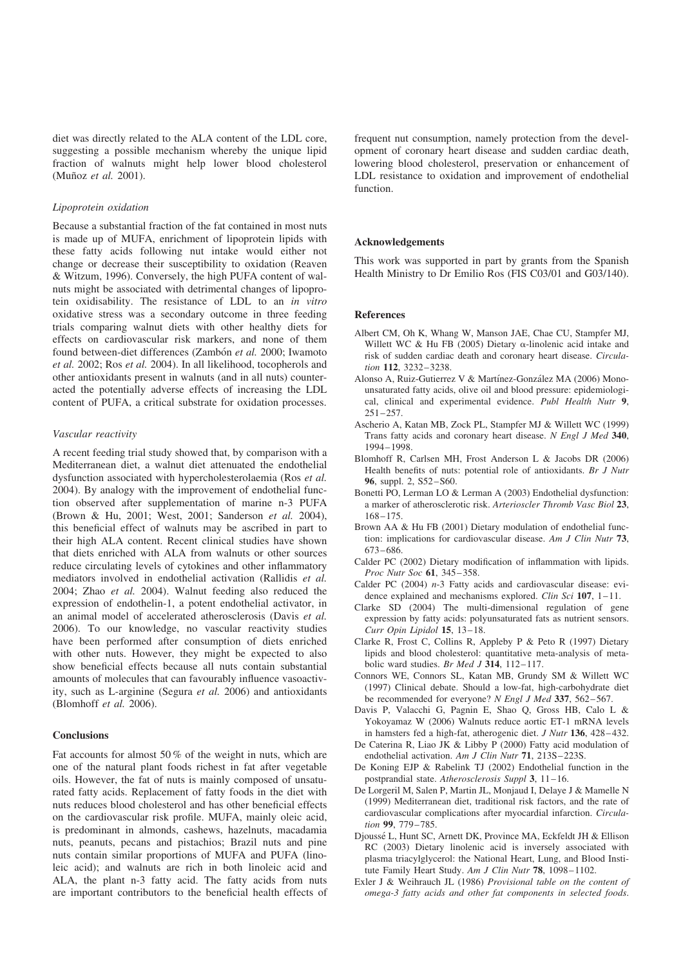diet was directly related to the ALA content of the LDL core, suggesting a possible mechanism whereby the unique lipid fraction of walnuts might help lower blood cholesterol (Muñoz et al. 2001).

#### Lipoprotein oxidation

Because a substantial fraction of the fat contained in most nuts is made up of MUFA, enrichment of lipoprotein lipids with these fatty acids following nut intake would either not change or decrease their susceptibility to oxidation (Reaven & Witzum, 1996). Conversely, the high PUFA content of walnuts might be associated with detrimental changes of lipoprotein oxidisability. The resistance of LDL to an in vitro oxidative stress was a secondary outcome in three feeding trials comparing walnut diets with other healthy diets for effects on cardiovascular risk markers, and none of them found between-diet differences (Zambón et al. 2000; Iwamoto et al. 2002; Ros et al. 2004). In all likelihood, tocopherols and other antioxidants present in walnuts (and in all nuts) counteracted the potentially adverse effects of increasing the LDL content of PUFA, a critical substrate for oxidation processes.

#### Vascular reactivity

A recent feeding trial study showed that, by comparison with a Mediterranean diet, a walnut diet attenuated the endothelial dysfunction associated with hypercholesterolaemia (Ros et al. 2004). By analogy with the improvement of endothelial function observed after supplementation of marine n-3 PUFA (Brown & Hu, 2001; West, 2001; Sanderson et al. 2004), this beneficial effect of walnuts may be ascribed in part to their high ALA content. Recent clinical studies have shown that diets enriched with ALA from walnuts or other sources reduce circulating levels of cytokines and other inflammatory mediators involved in endothelial activation (Rallidis et al. 2004; Zhao et al. 2004). Walnut feeding also reduced the expression of endothelin-1, a potent endothelial activator, in an animal model of accelerated atherosclerosis (Davis et al. 2006). To our knowledge, no vascular reactivity studies have been performed after consumption of diets enriched with other nuts. However, they might be expected to also show beneficial effects because all nuts contain substantial amounts of molecules that can favourably influence vasoactivity, such as L-arginine (Segura et al. 2006) and antioxidants (Blomhoff et al. 2006).

# Conclusions

Fat accounts for almost 50 % of the weight in nuts, which are one of the natural plant foods richest in fat after vegetable oils. However, the fat of nuts is mainly composed of unsaturated fatty acids. Replacement of fatty foods in the diet with nuts reduces blood cholesterol and has other beneficial effects on the cardiovascular risk profile. MUFA, mainly oleic acid, is predominant in almonds, cashews, hazelnuts, macadamia nuts, peanuts, pecans and pistachios; Brazil nuts and pine nuts contain similar proportions of MUFA and PUFA (linoleic acid); and walnuts are rich in both linoleic acid and ALA, the plant n-3 fatty acid. The fatty acids from nuts are important contributors to the beneficial health effects of frequent nut consumption, namely protection from the development of coronary heart disease and sudden cardiac death, lowering blood cholesterol, preservation or enhancement of LDL resistance to oxidation and improvement of endothelial function.

#### Acknowledgements

This work was supported in part by grants from the Spanish Health Ministry to Dr Emilio Ros (FIS C03/01 and G03/140).

#### References

- Albert CM, Oh K, Whang W, Manson JAE, Chae CU, Stampfer MJ, Willett WC & Hu FB (2005) Dietary  $\alpha$ -linolenic acid intake and risk of sudden cardiac death and coronary heart disease. Circulation 112, 3232–3238.
- Alonso A, Ruiz-Gutierrez V & Martínez-González MA (2006) Monounsaturated fatty acids, olive oil and blood pressure: epidemiological, clinical and experimental evidence. Publ Health Nutr 9, 251–257.
- Ascherio A, Katan MB, Zock PL, Stampfer MJ & Willett WC (1999) Trans fatty acids and coronary heart disease. N Engl J Med 340, 1994–1998.
- Blomhoff R, Carlsen MH, Frost Anderson L & Jacobs DR (2006) Health benefits of nuts: potential role of antioxidants. Br J Nutr 96, suppl. 2, S52–S60.
- Bonetti PO, Lerman LO & Lerman A (2003) Endothelial dysfunction: a marker of atherosclerotic risk. Arterioscler Thromb Vasc Biol 23, 168–175.
- Brown AA & Hu FB (2001) Dietary modulation of endothelial function: implications for cardiovascular disease. Am J Clin Nutr 73, 673–686.
- Calder PC (2002) Dietary modification of inflammation with lipids. Proc Nutr Soc 61, 345–358.
- Calder PC (2004) n-3 Fatty acids and cardiovascular disease: evidence explained and mechanisms explored. Clin Sci 107, 1-11.
- Clarke SD (2004) The multi-dimensional regulation of gene expression by fatty acids: polyunsaturated fats as nutrient sensors. Curr Opin Lipidol 15, 13–18.
- Clarke R, Frost C, Collins R, Appleby P & Peto R (1997) Dietary lipids and blood cholesterol: quantitative meta-analysis of metabolic ward studies. Br Med J 314,  $112-117$ .
- Connors WE, Connors SL, Katan MB, Grundy SM & Willett WC (1997) Clinical debate. Should a low-fat, high-carbohydrate diet be recommended for everyone? N Engl J Med 337, 562–567.
- Davis P, Valacchi G, Pagnin E, Shao Q, Gross HB, Calo L & Yokoyamaz W (2006) Walnuts reduce aortic ET-1 mRNA levels in hamsters fed a high-fat, atherogenic diet. J Nutr 136, 428–432.
- De Caterina R, Liao JK & Libby P (2000) Fatty acid modulation of endothelial activation. Am J Clin Nutr 71, 213S-223S.
- De Koning EJP & Rabelink TJ (2002) Endothelial function in the postprandial state. Atherosclerosis Suppl 3, 11–16.
- De Lorgeril M, Salen P, Martin JL, Monjaud I, Delaye J & Mamelle N (1999) Mediterranean diet, traditional risk factors, and the rate of cardiovascular complications after myocardial infarction. Circulation 99, 779–785.
- Djoussé L, Hunt SC, Arnett DK, Province MA, Eckfeldt JH & Ellison RC (2003) Dietary linolenic acid is inversely associated with plasma triacylglycerol: the National Heart, Lung, and Blood Institute Family Heart Study. Am J Clin Nutr 78, 1098-1102.
- Exler J & Weihrauch JL (1986) Provisional table on the content of omega-3 fatty acids and other fat components in selected foods.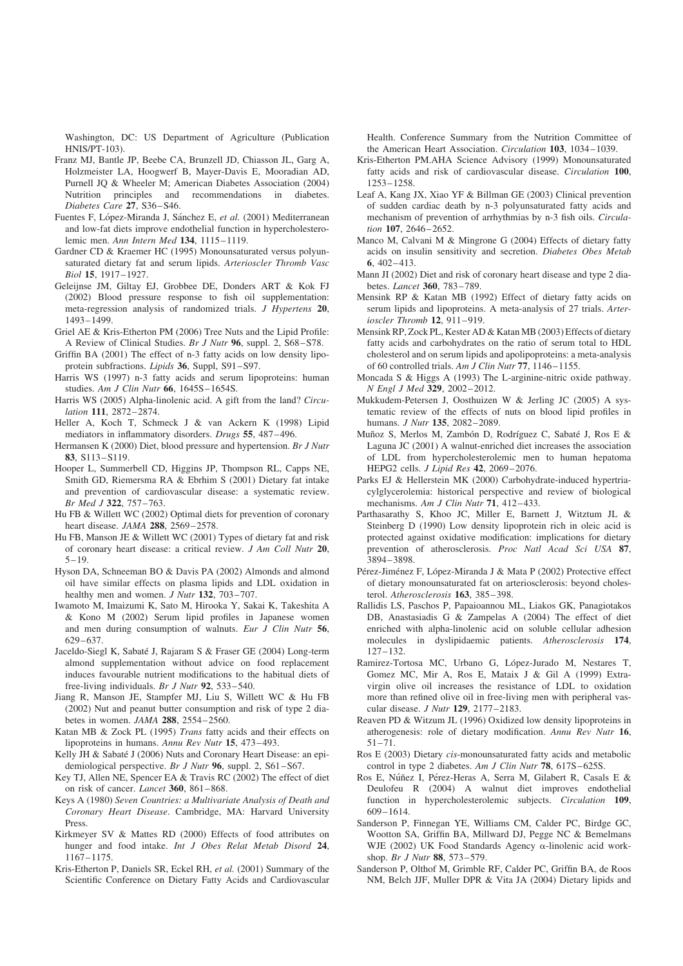Washington, DC: US Department of Agriculture (Publication HNIS/PT-103).

- Franz MJ, Bantle JP, Beebe CA, Brunzell JD, Chiasson JL, Garg A, Holzmeister LA, Hoogwerf B, Mayer-Davis E, Mooradian AD, Purnell JQ & Wheeler M; American Diabetes Association (2004) Nutrition principles and recommendations in diabetes. Diabetes Care 27, S36–S46.
- Fuentes F, López-Miranda J, Sánchez E, et al. (2001) Mediterranean and low-fat diets improve endothelial function in hypercholesterolemic men. Ann Intern Med 134, 1115–1119.
- Gardner CD & Kraemer HC (1995) Monounsaturated versus polyunsaturated dietary fat and serum lipids. Arterioscler Thromb Vasc Biol 15, 1917–1927.
- Geleijnse JM, Giltay EJ, Grobbee DE, Donders ART & Kok FJ (2002) Blood pressure response to fish oil supplementation: meta-regression analysis of randomized trials. J Hypertens 20, 1493–1499.
- Griel AE & Kris-Etherton PM (2006) Tree Nuts and the Lipid Profile: A Review of Clinical Studies. Br J Nutr 96, suppl. 2, S68–S78.
- Griffin BA (2001) The effect of n-3 fatty acids on low density lipoprotein subfractions. Lipids 36, Suppl, S91–S97.
- Harris WS (1997) n-3 fatty acids and serum lipoproteins: human studies. Am J Clin Nutr 66, 1645S-1654S.
- Harris WS (2005) Alpha-linolenic acid. A gift from the land? Circulation 111, 2872–2874.
- Heller A, Koch T, Schmeck J & van Ackern K (1998) Lipid mediators in inflammatory disorders. Drugs 55, 487–496.
- Hermansen K (2000) Diet, blood pressure and hypertension. Br J Nutr 83, S113–S119.
- Hooper L, Summerbell CD, Higgins JP, Thompson RL, Capps NE, Smith GD, Riemersma RA & Ebrhim S (2001) Dietary fat intake and prevention of cardiovascular disease: a systematic review. Br Med J 322, 757–763.
- Hu FB & Willett WC (2002) Optimal diets for prevention of coronary heart disease. JAMA 288, 2569–2578.
- Hu FB, Manson JE & Willett WC (2001) Types of dietary fat and risk of coronary heart disease: a critical review. J Am Coll Nutr 20,  $5 - 19$ .
- Hyson DA, Schneeman BO & Davis PA (2002) Almonds and almond oil have similar effects on plasma lipids and LDL oxidation in healthy men and women. J Nutr 132, 703-707.
- Iwamoto M, Imaizumi K, Sato M, Hirooka Y, Sakai K, Takeshita A & Kono M (2002) Serum lipid profiles in Japanese women and men during consumption of walnuts. Eur J Clin Nutr 56, 629–637.
- Jaceldo-Siegl K, Sabaté J, Rajaram S & Fraser GE (2004) Long-term almond supplementation without advice on food replacement induces favourable nutrient modifications to the habitual diets of free-living individuals. Br J Nutr 92, 533–540.
- Jiang R, Manson JE, Stampfer MJ, Liu S, Willett WC & Hu FB (2002) Nut and peanut butter consumption and risk of type 2 diabetes in women. JAMA 288, 2554–2560.
- Katan MB & Zock PL (1995) Trans fatty acids and their effects on lipoproteins in humans. Annu Rev Nutr 15, 473–493.
- Kelly JH & Sabaté J (2006) Nuts and Coronary Heart Disease: an epidemiological perspective. Br J Nutr 96, suppl. 2, S61–S67.
- Key TJ, Allen NE, Spencer EA & Travis RC (2002) The effect of diet on risk of cancer. Lancet 360, 861–868.
- Keys A (1980) Seven Countries: a Multivariate Analysis of Death and Coronary Heart Disease. Cambridge, MA: Harvard University Press.
- Kirkmeyer SV & Mattes RD (2000) Effects of food attributes on hunger and food intake. Int J Obes Relat Metab Disord 24, 1167–1175.
- Kris-Etherton P, Daniels SR, Eckel RH, et al. (2001) Summary of the Scientific Conference on Dietary Fatty Acids and Cardiovascular

Health. Conference Summary from the Nutrition Committee of the American Heart Association. Circulation 103, 1034–1039.

- Kris-Etherton PM.AHA Science Advisory (1999) Monounsaturated fatty acids and risk of cardiovascular disease. *Circulation* 100, 1253–1258.
- Leaf A, Kang JX, Xiao YF & Billman GE (2003) Clinical prevention of sudden cardiac death by n-3 polyunsaturated fatty acids and mechanism of prevention of arrhythmias by n-3 fish oils. Circulation 107, 2646–2652.
- Manco M, Calvani M & Mingrone G (2004) Effects of dietary fatty acids on insulin sensitivity and secretion. Diabetes Obes Metab 6, 402–413.
- Mann JI (2002) Diet and risk of coronary heart disease and type 2 diabetes. Lancet 360, 783–789.
- Mensink RP & Katan MB (1992) Effect of dietary fatty acids on serum lipids and lipoproteins. A meta-analysis of 27 trials. Arterioscler Thromb 12, 911–919.
- Mensink RP, Zock PL, Kester AD & Katan MB (2003) Effects of dietary fatty acids and carbohydrates on the ratio of serum total to HDL cholesterol and on serum lipids and apolipoproteins: a meta-analysis of 60 controlled trials. Am J Clin Nutr 77, 1146–1155.
- Moncada S & Higgs A (1993) The L-arginine-nitric oxide pathway. N Engl J Med 329, 2002–2012.
- Mukkudem-Petersen J, Oosthuizen W & Jerling JC (2005) A systematic review of the effects of nuts on blood lipid profiles in humans. J Nutr 135, 2082–2089.
- Muñoz S, Merlos M, Zambón D, Rodríguez C, Sabaté J, Ros E & Laguna JC (2001) A walnut-enriched diet increases the association of LDL from hypercholesterolemic men to human hepatoma HEPG2 cells. J Lipid Res 42, 2069–2076.
- Parks EJ & Hellerstein MK (2000) Carbohydrate-induced hypertriacylglycerolemia: historical perspective and review of biological mechanisms. Am J Clin Nutr 71, 412-433.
- Parthasarathy S, Khoo JC, Miller E, Barnett J, Witztum JL & Steinberg D (1990) Low density lipoprotein rich in oleic acid is protected against oxidative modification: implications for dietary prevention of atherosclerosis. Proc Natl Acad Sci USA 87, 3894–3898.
- Pérez-Jiménez F, López-Miranda J & Mata P (2002) Protective effect of dietary monounsaturated fat on arteriosclerosis: beyond cholesterol. Atherosclerosis 163, 385–398.
- Rallidis LS, Paschos P, Papaioannou ML, Liakos GK, Panagiotakos DB, Anastasiadis G & Zampelas A (2004) The effect of diet enriched with alpha-linolenic acid on soluble cellular adhesion molecules in dyslipidaemic patients. Atherosclerosis 174,  $127 - 132$
- Ramirez-Tortosa MC, Urbano G, López-Jurado M, Nestares T, Gomez MC, Mir A, Ros E, Mataix J & Gil A (1999) Extravirgin olive oil increases the resistance of LDL to oxidation more than refined olive oil in free-living men with peripheral vascular disease. J Nutr 129, 2177–2183.
- Reaven PD & Witzum JL (1996) Oxidized low density lipoproteins in atherogenesis: role of dietary modification. Annu Rev Nutr 16, 51–71.
- Ros E (2003) Dietary cis-monounsaturated fatty acids and metabolic control in type 2 diabetes. Am J Clin Nutr 78, 617S-625S.
- Ros E, Núñez I, Pérez-Heras A, Serra M, Gilabert R, Casals E & Deulofeu R (2004) A walnut diet improves endothelial function in hypercholesterolemic subjects. Circulation 109, 609–1614.
- Sanderson P, Finnegan YE, Williams CM, Calder PC, Birdge GC, Wootton SA, Griffin BA, Millward DJ, Pegge NC & Bemelmans WJE (2002) UK Food Standards Agency a-linolenic acid workshop. Br J Nutr 88, 573–579.
- Sanderson P, Olthof M, Grimble RF, Calder PC, Griffin BA, de Roos NM, Belch JJF, Muller DPR & Vita JA (2004) Dietary lipids and